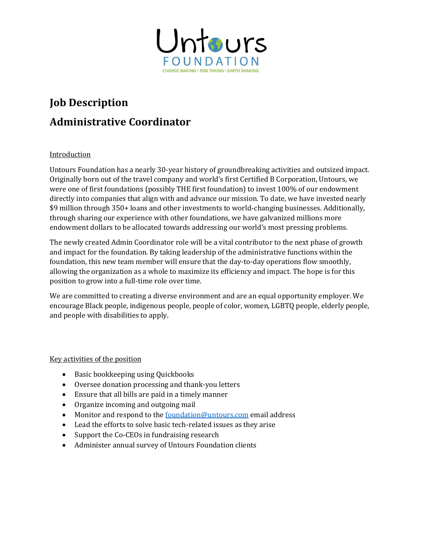

# **Job Description Administrative Coordinator**

### Introduction

Untours Foundation has a nearly 30-year history of groundbreaking activities and outsized impact. Originally born out of the travel company and world's first Certified B Corporation, Untours, we were one of first foundations (possibly THE first foundation) to invest 100% of our endowment directly into companies that align with and advance our mission. To date, we have invested nearly \$9 million through 350+ loans and other investments to world-changing businesses. Additionally, through sharing our experience with other foundations, we have galvanized millions more endowment dollars to be allocated towards addressing our world's most pressing problems.

The newly created Admin Coordinator role will be a vital contributor to the next phase of growth and impact for the foundation. By taking leadership of the administrative functions within the foundation, this new team member will ensure that the day-to-day operations flow smoothly, allowing the organization as a whole to maximize its efficiency and impact. The hope is for this position to grow into a full-time role over time.

We are committed to creating a diverse environment and are an equal opportunity employer. We encourage Black people, indigenous people, people of color, women, LGBTQ people, elderly people, and people with disabilities to apply.

### Key activities of the position

- Basic bookkeeping using Quickbooks
- Oversee donation processing and thank-you letters
- Ensure that all bills are paid in a timely manner
- Organize incoming and outgoing mail
- Monitor and respond to th[e foundation@untours.com](mailto:foundation@untours.com) email address
- Lead the efforts to solve basic tech-related issues as they arise
- Support the Co-CEOs in fundraising research
- Administer annual survey of Untours Foundation clients